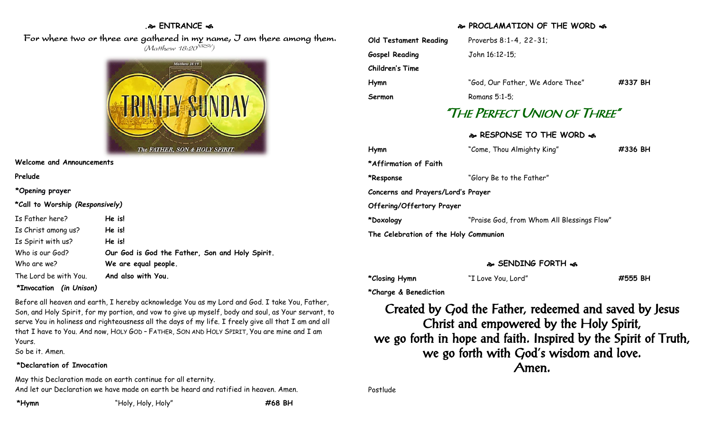#### **. ENTRANCE**

For where two or three are gathered in my name, J am there among them. (Matthew 18:20<sup>NRSV</sup>)



**Welcome and Announcements**

**Prelude**

**\*Opening prayer**

**\*Call to Worship** *(Responsively)*

| Is Father here?       | He is!                                          |
|-----------------------|-------------------------------------------------|
| Is Christ among us?   | He is!                                          |
| Is Spirit with us?    | He is!                                          |
| Who is our God?       | Our God is God the Father, Son and Holy Spirit. |
| Who are we?           | We are equal people.                            |
| The Lord be with You. | And also with You.                              |

#### **\*Invocation** *(in Unison)*

Before all heaven and earth, I hereby acknowledge You as my Lord and God. I take You, Father, Son, and Holy Spirit, for my portion, and vow to give up myself, body and soul, as Your servant, to serve You in holiness and righteousness all the days of my life. I freely give all that I am and all that I have to You. And now, HOLY GOD – FATHER, SON AND HOLY SPIRIT, You are mine and I am Yours.

So be it. Amen.

#### **\*Declaration of Invocation**

May this Declaration made on earth continue for all eternity. And let our Declaration we have made on earth be heard and ratified in heaven. Amen.

#### **PROCLAMATION OF THE WORD**

| Old Testament Reading | Proverbs 8:1-4, 22-31;           |         |
|-----------------------|----------------------------------|---------|
| <b>Gospel Reading</b> | John 16:12-15;                   |         |
| Children's Time       |                                  |         |
| Hymn                  | "God, Our Father, We Adore Thee" | #337 BH |
| Sermon                | Romans $5:1-5$ :                 |         |
|                       | "The Perfect Union of Three"     |         |
|                       | & RESPONSE TO THE WORD &         |         |
| Hymn                  | "Come, Thou Almighty King"       | #336 BH |

**Hymn** "Come, Thou Almighty King" **#336 BH \*Affirmation of Faith \*Response** "Glory Be to the Father" **Concerns and Prayers/Lord's Prayer Offering/Offertory Prayer \*Doxology** "Praise God, from Whom All Blessings Flow" **The Celebration of the Holy Communion**

### **SENDING FORTH**

**\*Closing Hymn** "I Love You, Lord" **#555 BH**

**\*Charge & Benediction**

Created by God the Father, redeemed and saved by Jesus Christ and empowered by the Holy Spirit, we go forth in hope and faith. Inspired by the Spirit of Truth, we go forth with God's wisdom and love. Amen.

Postlude